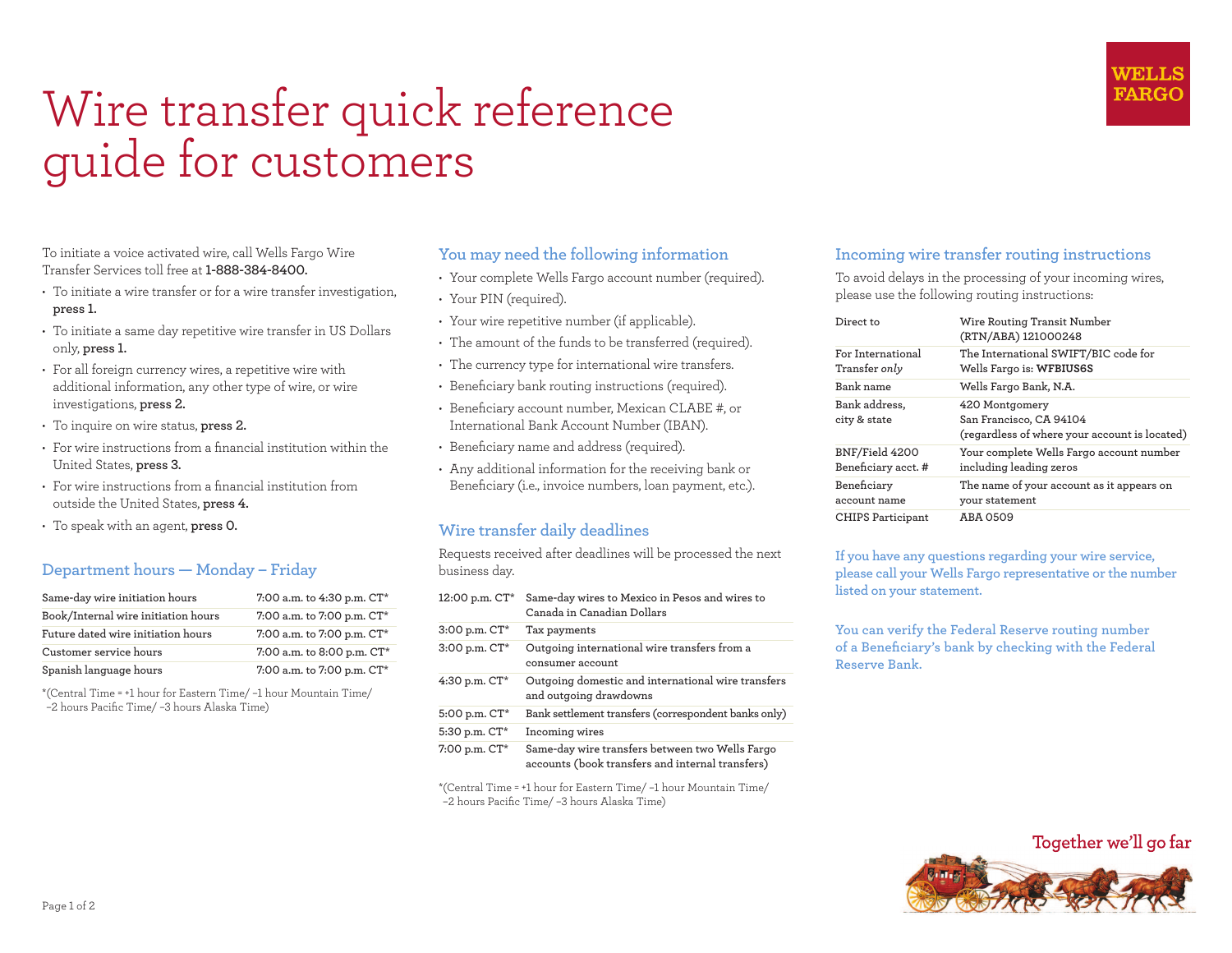# Wire transfer quick reference guide for customers

To initiate a voice activated wire, call Wells Fargo Wire Transfer Services toll free at **1-888-384-8400.** 

- To initiate a wire transfer or for a wire transfer investigation, **press 1.**
- To initiate a same day repetitive wire transfer in US Dollars only, **press 1.**
- For all foreign currency wires, a repetitive wire with additional information, any other type of wire, or wire investigations, **press 2.**
- To inquire on wire status, **press 2.**
- For wire instructions from a financial institution within the United States, **press 3.**
- $\cdot$  For wire instructions from a financial institution from outside the United States, **press 4.**
- To speak with an agent, **press 0.**

### **Department hours — Monday – Friday**

| Same-day wire initiation hours      | 7:00 a.m. to 4:30 p.m. CT* |
|-------------------------------------|----------------------------|
| Book/Internal wire initiation hours | 7:00 a.m. to 7:00 p.m. CT* |
| Future dated wire initiation hours  | 7:00 a.m. to 7:00 p.m. CT* |
| Customer service hours              | 7:00 a.m. to 8:00 p.m. CT* |
| Spanish language hours              | 7:00 a.m. to 7:00 p.m. CT* |

\* (Central Time = +1 hour for Eastern Time/ –1 hour Mountain Time/ –2 hours Paciic Time/ –3 hours Alaska Time)

### **You may need the following information**

- Your complete Wells Fargo account number (required).
- Your PIN (required).
- Your wire repetitive number (if applicable).
- The amount of the funds to be transferred (required).
- The currency type for international wire transfers.
- Beneficiary bank routing instructions (required).
- Beneficiary account number, Mexican CLABE #, or International Bank Account Number (IBAN).
- Beneficiary name and address (required).
- Any additional information for the receiving bank or Beneficiary (i.e., invoice numbers, loan payment, etc.).

### **Wire transfer daily deadlines**

Requests received after deadlines will be processed the next business day.

**12:00 p.m. CT\* Same-day wires to Mexico in Pesos and wires to Canada in Canadian Dollars 3:00 p.m. CT\* Tax payments 3:00 p.m. CT\* Outgoing international wire transfers from a consumer account 4:30 p.m. CT\* Outgoing domestic and international wire transfers and outgoing drawdowns 5:00 p.m. CT\* Bank settlement transfers (correspondent banks only) 5:30 p.m. CT\* Incoming wires 7:00 p.m. CT\* Same-day wire transfers between two Wells Fargo accounts (book transfers and internal transfers)**

\* (Central Time = +1 hour for Eastern Time/ –1 hour Mountain Time/ –2 hours Paciic Time/ –3 hours Alaska Time)

### **Incoming wire transfer routing instructions**

To avoid delays in the processing of your incoming wires, please use the following routing instructions:

WELLS **FARGC** 

| Direct to                                 | Wire Routing Transit Number<br>(RTN/ABA) 121000248                                         |
|-------------------------------------------|--------------------------------------------------------------------------------------------|
| For International<br>Transfer <i>only</i> | The International SWIFT/BIC code for<br>Wells Fargo is: WFBIUS6S                           |
| Bank name                                 | Wells Fargo Bank, N.A.                                                                     |
| Bank address,<br>city & state             | 420 Montgomery<br>San Francisco, CA 94104<br>(regardless of where your account is located) |
| BNF/Field 4200<br>Beneficiary acct. #     | Your complete Wells Fargo account number<br>including leading zeros                        |
| Beneficiary<br>account name               | The name of your account as it appears on<br>your statement                                |
| <b>CHIPS Participant</b>                  | ABA 0509                                                                                   |

**If you have any questions regarding your wire service, please call your Wells Fargo representative or the number listed on your statement.**

**You can verify the Federal Reserve routing number**  of a Beneficiary's bank by checking with the Federal **Reserve Bank.**